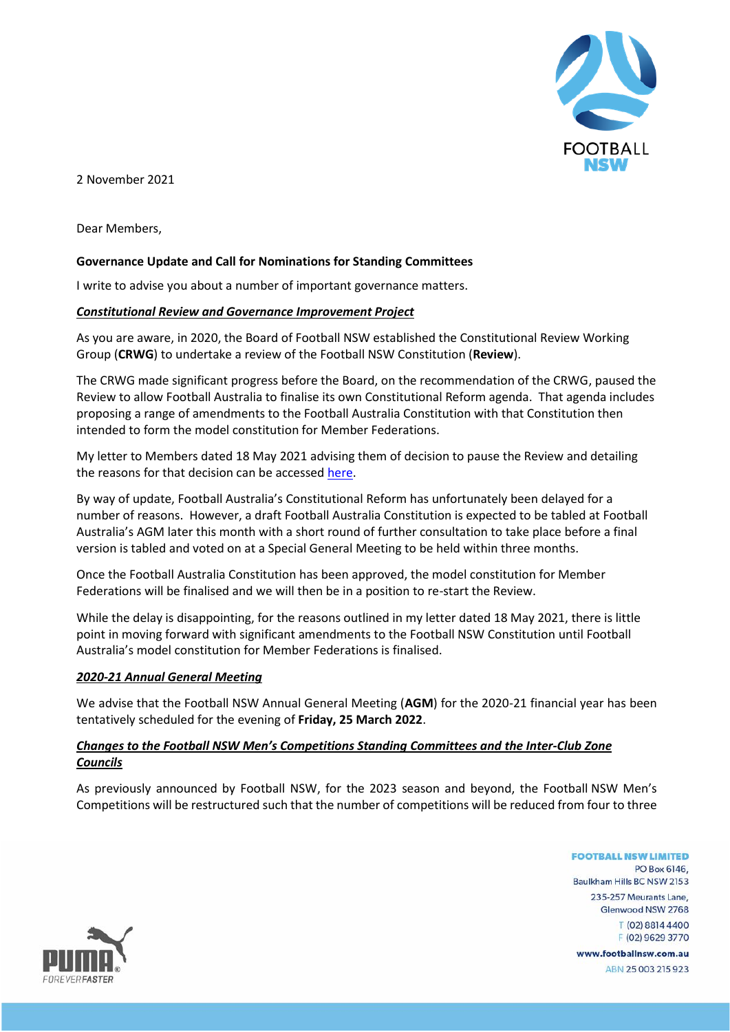

2 November 2021

Dear Members,

# **Governance Update and Call for Nominations for Standing Committees**

I write to advise you about a number of important governance matters.

#### *Constitutional Review and Governance Improvement Project*

As you are aware, in 2020, the Board of Football NSW established the Constitutional Review Working Group (**CRWG**) to undertake a review of the Football NSW Constitution (**Review**).

The CRWG made significant progress before the Board, on the recommendation of the CRWG, paused the Review to allow Football Australia to finalise its own Constitutional Reform agenda. That agenda includes proposing a range of amendments to the Football Australia Constitution with that Constitution then intended to form the model constitution for Member Federations.

My letter to Members dated 18 May 2021 advising them of decision to pause the Review and detailing the reasons for that decision can be accessed [here.](https://footballnsw.com.au/wp-content/uploads/2021/11/20210518-Letter-to-Members-from-Gilbert-Lorquet-FNSW-Chairman.pdf)

By way of update, Football Australia's Constitutional Reform has unfortunately been delayed for a number of reasons. However, a draft Football Australia Constitution is expected to be tabled at Football Australia's AGM later this month with a short round of further consultation to take place before a final version is tabled and voted on at a Special General Meeting to be held within three months.

Once the Football Australia Constitution has been approved, the model constitution for Member Federations will be finalised and we will then be in a position to re-start the Review.

While the delay is disappointing, for the reasons outlined in my letter dated 18 May 2021, there is little point in moving forward with significant amendments to the Football NSW Constitution until Football Australia's model constitution for Member Federations is finalised.

### *2020-21 Annual General Meeting*

We advise that the Football NSW Annual General Meeting (**AGM**) for the 2020-21 financial year has been tentatively scheduled for the evening of **Friday, 25 March 2022**.

## *Changes to the Football NSW Men's Competitions Standing Committees and the Inter-Club Zone Councils*

As previously announced by Football NSW, for the 2023 season and beyond, the Football NSW Men's Competitions will be restructured such that the number of competitions will be reduced from four to three

> **FOOTBALL NSW LIMITED** PO Box 6146 Baulkham Hills BC NSW 2153 235-257 Meurants Lane, Glenwood NSW 2768 T (02) 8814 4400 F (02) 9629 3770 www.footballnsw.com.au ABN 25003215923

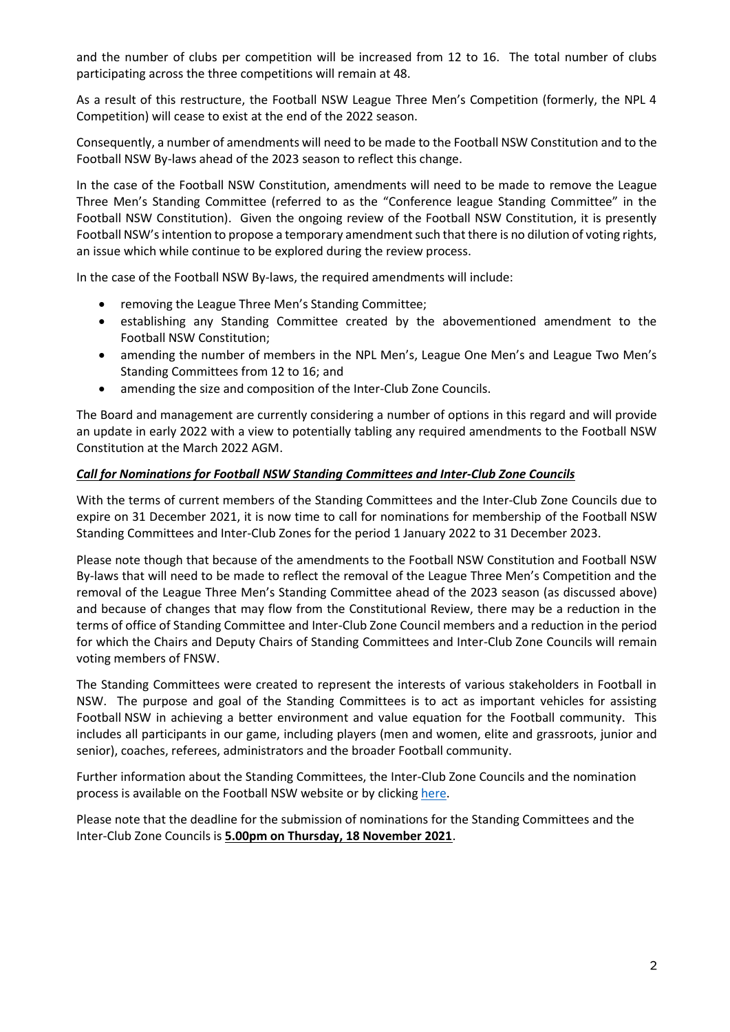and the number of clubs per competition will be increased from 12 to 16. The total number of clubs participating across the three competitions will remain at 48.

As a result of this restructure, the Football NSW League Three Men's Competition (formerly, the NPL 4 Competition) will cease to exist at the end of the 2022 season.

Consequently, a number of amendments will need to be made to the Football NSW Constitution and to the Football NSW By-laws ahead of the 2023 season to reflect this change.

In the case of the Football NSW Constitution, amendments will need to be made to remove the League Three Men's Standing Committee (referred to as the "Conference league Standing Committee" in the Football NSW Constitution). Given the ongoing review of the Football NSW Constitution, it is presently Football NSW's intention to propose a temporary amendment such that there is no dilution of voting rights, an issue which while continue to be explored during the review process.

In the case of the Football NSW By-laws, the required amendments will include:

- removing the League Three Men's Standing Committee;
- establishing any Standing Committee created by the abovementioned amendment to the Football NSW Constitution;
- amending the number of members in the NPL Men's, League One Men's and League Two Men's Standing Committees from 12 to 16; and
- amending the size and composition of the Inter-Club Zone Councils.

The Board and management are currently considering a number of options in this regard and will provide an update in early 2022 with a view to potentially tabling any required amendments to the Football NSW Constitution at the March 2022 AGM.

## *Call for Nominations for Football NSW Standing Committees and Inter-Club Zone Councils*

With the terms of current members of the Standing Committees and the Inter-Club Zone Councils due to expire on 31 December 2021, it is now time to call for nominations for membership of the Football NSW Standing Committees and Inter-Club Zones for the period 1 January 2022 to 31 December 2023.

Please note though that because of the amendments to the Football NSW Constitution and Football NSW By-laws that will need to be made to reflect the removal of the League Three Men's Competition and the removal of the League Three Men's Standing Committee ahead of the 2023 season (as discussed above) and because of changes that may flow from the Constitutional Review, there may be a reduction in the terms of office of Standing Committee and Inter-Club Zone Council members and a reduction in the period for which the Chairs and Deputy Chairs of Standing Committees and Inter-Club Zone Councils will remain voting members of FNSW.

The Standing Committees were created to represent the interests of various stakeholders in Football in NSW. The purpose and goal of the Standing Committees is to act as important vehicles for assisting Football NSW in achieving a better environment and value equation for the Football community. This includes all participants in our game, including players (men and women, elite and grassroots, junior and senior), coaches, referees, administrators and the broader Football community.

Further information about the Standing Committees, the Inter-Club Zone Councils and the nomination process is available on the Football NSW website or by clickin[g here.](https://footballnsw.com.au/about/standing-committees/)

Please note that the deadline for the submission of nominations for the Standing Committees and the Inter-Club Zone Councils is **5.00pm on Thursday, 18 November 2021**.